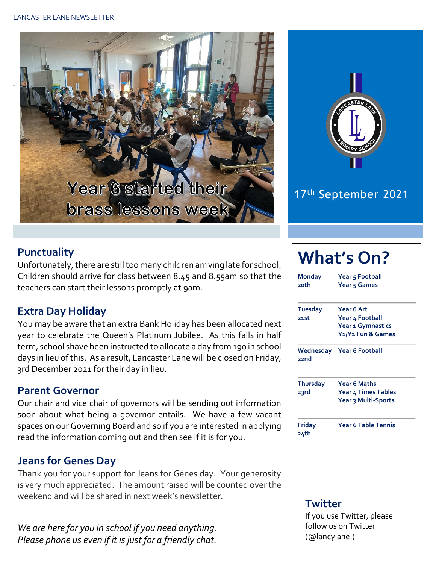



### 17th September 2021

#### **Punctuality**

Unfortunately, there are still too many children arriving late for school. Children should arrive for class between 8.45 and 8.55am so that the teachers can start their lessons promptly at 9am.

#### **Extra Day Holiday**

You may be aware that an extra Bank Holiday has been allocated next year to celebrate the Queen's Platinum Jubilee. As this falls in half term, school shave been instructed to allocate a day from 190 in school days in lieu of this. As a result, Lancaster Lane will be closed on Friday, 3rd December 2021 for their day in lieu.

#### **Parent Governor**

Our chair and vice chair of governors will be sending out information soon about what being a governor entails. We have a few vacant spaces on our Governing Board and so if you are interested in applying read the information coming out and then see if it is for you.

#### **Jeans for Genes Day**

Thank you for your support for Jeans for Genes day. Your generosity is very much appreciated. The amount raised will be counted over the weekend and will be shared in next week's newsletter.

*We are here for you in school if you need anything. Please phone us even if it is just for a friendly chat.* 

# **What's On?**

| Monday<br><b>20th</b> | Year 5 Football<br>Year 5 Games |  |  |  |  |
|-----------------------|---------------------------------|--|--|--|--|
| <b>Tuesday</b>        | Year 6 Art                      |  |  |  |  |
| 21st                  | Year 4 Football                 |  |  |  |  |
|                       | Year 1 Gymnastics               |  |  |  |  |
|                       | Y1/Y2 Fun & Games               |  |  |  |  |
| 22nd                  | Wednesday Year 6 Football       |  |  |  |  |
| <b>Thursday</b>       | <b>Year 6 Maths</b>             |  |  |  |  |
| 23rd                  | Year 4 Times Tables             |  |  |  |  |
|                       | Year 3 Multi-Sports             |  |  |  |  |
| <b>Friday</b>         | <b>Year 6 Table Tennis</b>      |  |  |  |  |

#### **Twitter**

If you use Twitter, please follow us on Twitter (@lancylane.)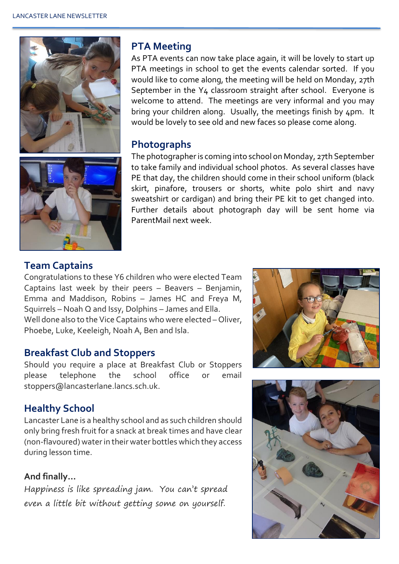



#### **Team Captains**

#### **PTA Meeting**

As PTA events can now take place again, it will be lovely to start up PTA meetings in school to get the events calendar sorted. If you would like to come along, the meeting will be held on Monday, 27th September in the Y4 classroom straight after school. Everyone is welcome to attend. The meetings are very informal and you may bring your children along. Usually, the meetings finish by 4pm. It would be lovely to see old and new faces so please come along.

#### **Photographs**

The photographer is coming into school on Monday, 27th September to take family and individual school photos. As several classes have PE that day, the children should come in their school uniform (black skirt, pinafore, trousers or shorts, white polo shirt and navy sweatshirt or cardigan) and bring their PE kit to get changed into. Further details about photograph day will be sent home via ParentMail next week.

Congratulations to these Y6 children who were elected Team Captains last week by their peers – Beavers – Benjamin, Emma and Maddison, Robins – James HC and Freya M, Squirrels – Noah Q and Issy, Dolphins – James and Ella. Well done also to the Vice Captains who were elected – Oliver, Phoebe, Luke, Keeleigh, Noah A, Ben and Isla.

#### **Breakfast Club and Stoppers**

Should you require a place at Breakfast Club or Stoppers please telephone the school office or email stoppers@lancasterlane.lancs.sch.uk.

#### **Healthy School**

Lancaster Lane is a healthy school and as such children should only bring fresh fruit for a snack at break times and have clear (non-flavoured) water in their water bottles which they access during lesson time.

#### **And finally…**

Happiness is like spreading jam. You can't spread even a little bit without getting some on yourself.